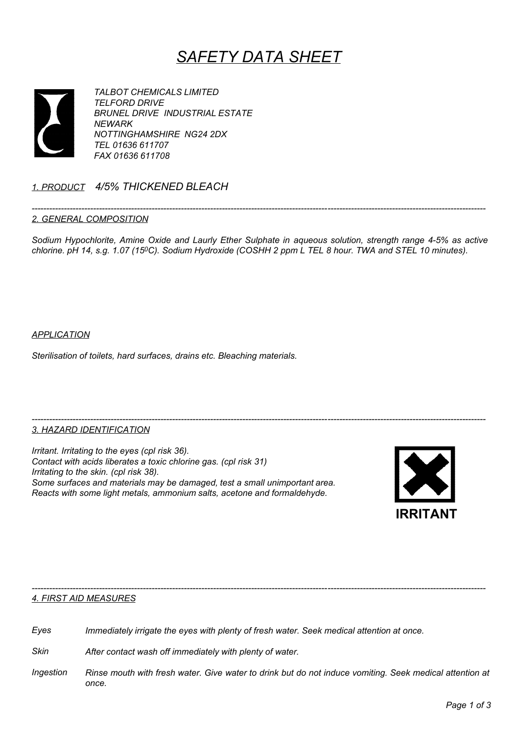# SAFETY DATA SHEET



TALBOT CHEMICALS LIMITED TELFORD DRIVE BRUNEL DRIVE INDUSTRIAL ESTATE **NEWARK** NOTTINGHAMSHIRE NG24 2DX TEL 01636 611707 FAX 01636 611708

# 1. PRODUCT 4/5% THICKENED BLEACH

#### ----------------------------------------------------------------------------------------------------------------------------------------------------------- 2. GENERAL COMPOSITION

Sodium Hypochlorite, Amine Oxide and Laurly Ether Sulphate in aqueous solution, strength range 4-5% as active chlorine. pH 14, s.g. 1.07 (15ºC). Sodium Hydroxide (COSHH 2 ppm L TEL 8 hour. TWA and STEL 10 minutes).

# **APPLICATION**

Sterilisation of toilets, hard surfaces, drains etc. Bleaching materials.

#### ----------------------------------------------------------------------------------------------------------------------------------------------------------- 3. HAZARD IDENTIFICATION

Irritant. Irritating to the eyes (cpl risk 36). Contact with acids liberates a toxic chlorine gas. (cpl risk 31) Irritating to the skin. (cpl risk 38). Some surfaces and materials may be damaged, test a small unimportant area. Reacts with some light metals, ammonium salts, acetone and formaldehyde.



#### ----------------------------------------------------------------------------------------------------------------------------------------------------------- 4. FIRST AID MEASURES

Eyes Immediately irrigate the eyes with plenty of fresh water. Seek medical attention at once.

Skin After contact wash off immediately with plenty of water.

Ingestion Rinse mouth with fresh water. Give water to drink but do not induce vomiting. Seek medical attention at once.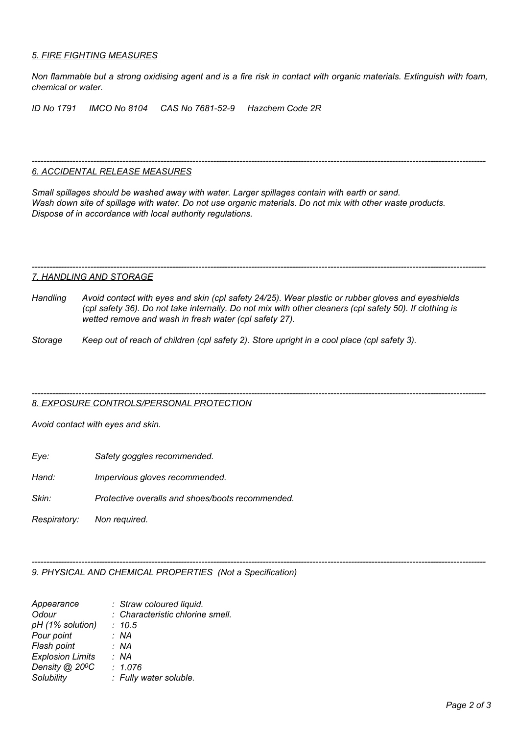# 5. FIRE FIGHTING MEASURES

Non flammable but a strong oxidising agent and is a fire risk in contact with organic materials. Extinguish with foam, chemical or water.

ID No 1791 IMCO No 8104 CAS No 7681-52-9 Hazchem Code 2R

#### ----------------------------------------------------------------------------------------------------------------------------------------------------------- 6. ACCIDENTAL RELEASE MEASURES

Small spillages should be washed away with water. Larger spillages contain with earth or sand. Wash down site of spillage with water. Do not use organic materials. Do not mix with other waste products. Dispose of in accordance with local authority regulations.

#### ----------------------------------------------------------------------------------------------------------------------------------------------------------- 7. HANDLING AND STORAGE

- Handling Avoid contact with eyes and skin (cpl safety 24/25). Wear plastic or rubber gloves and eyeshields (cpl safety 36). Do not take internally. Do not mix with other cleaners (cpl safety 50). If clothing is wetted remove and wash in fresh water (cpl safety 27).
- Storage Keep out of reach of children (cpl safety 2). Store upright in a cool place (cpl safety 3).

#### ----------------------------------------------------------------------------------------------------------------------------------------------------------- 8. EXPOSURE CONTROLS/PERSONAL PROTECTION

Avoid contact with eyes and skin.

- Eye: Safety goggles recommended.
- Hand: Impervious gloves recommended.
- Skin: Protective overalls and shoes/boots recommended.

Respiratory: Non required.

#### ----------------------------------------------------------------------------------------------------------------------------------------------------------- 9. PHYSICAL AND CHEMICAL PROPERTIES (Not a Specification)

| Appearance                  | : Straw coloured liquid.         |
|-----------------------------|----------------------------------|
| Odour                       | : Characteristic chlorine smell. |
| pH (1% solution)            | : 10.5                           |
| Pour point                  | : NA                             |
| Flash point                 | : NA                             |
| <b>Explosion Limits</b>     | : NA                             |
| Density @ 20 <sup>o</sup> C | : 1.076                          |
| Solubility                  | : Fully water soluble.           |